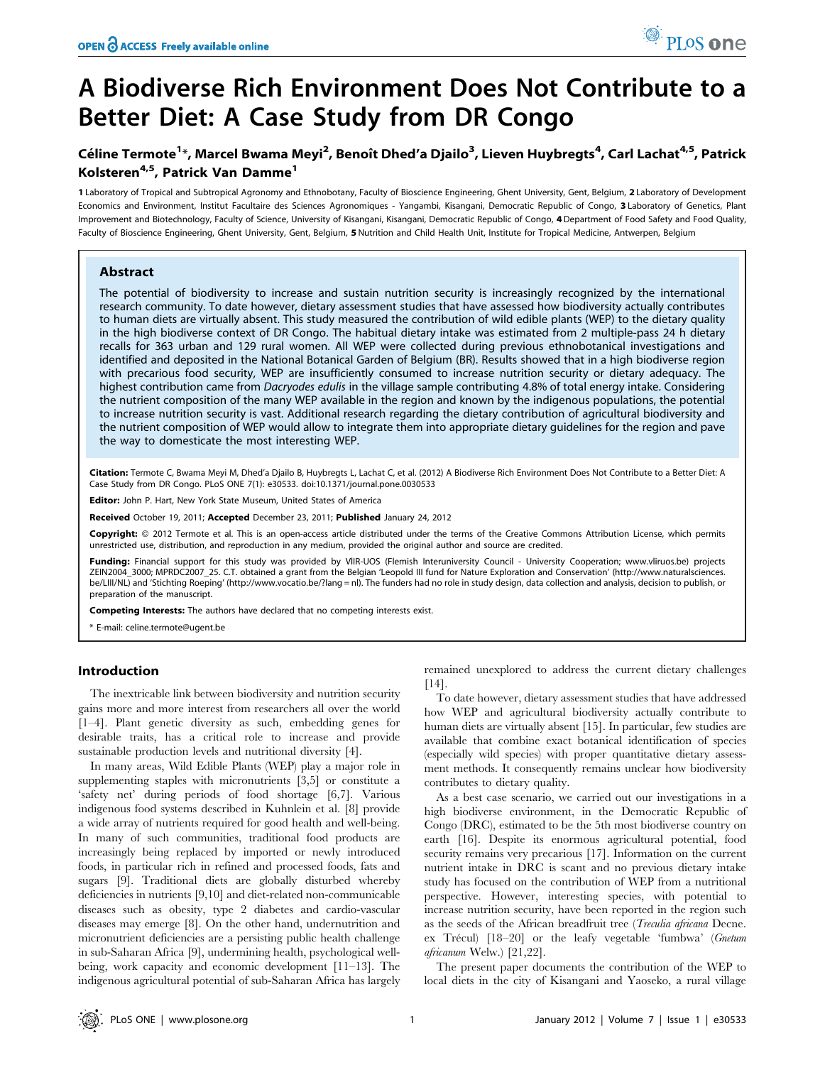# A Biodiverse Rich Environment Does Not Contribute to a Better Diet: A Case Study from DR Congo

# Céline Termote<sup>1</sup>\*, Marcel Bwama Meyi<sup>2</sup>, Benoît Dhed'a Djailo<sup>3</sup>, Lieven Huybregts<sup>4</sup>, Carl Lachat<sup>4,5</sup>, Patrick Kolsteren<sup>4,5</sup>, Patrick Van Damme<sup>1</sup>

1 Laboratory of Tropical and Subtropical Agronomy and Ethnobotany, Faculty of Bioscience Engineering, Ghent University, Gent, Belgium, 2 Laboratory of Development Economics and Environment, Institut Facultaire des Sciences Agronomiques - Yangambi, Kisangani, Democratic Republic of Congo, 3 Laboratory of Genetics, Plant Improvement and Biotechnology, Faculty of Science, University of Kisangani, Kisangani, Democratic Republic of Congo, 4 Department of Food Safety and Food Quality, Faculty of Bioscience Engineering, Ghent University, Gent, Belgium, 5 Nutrition and Child Health Unit, Institute for Tropical Medicine, Antwerpen, Belgium

# Abstract

The potential of biodiversity to increase and sustain nutrition security is increasingly recognized by the international research community. To date however, dietary assessment studies that have assessed how biodiversity actually contributes to human diets are virtually absent. This study measured the contribution of wild edible plants (WEP) to the dietary quality in the high biodiverse context of DR Congo. The habitual dietary intake was estimated from 2 multiple-pass 24 h dietary recalls for 363 urban and 129 rural women. All WEP were collected during previous ethnobotanical investigations and identified and deposited in the National Botanical Garden of Belgium (BR). Results showed that in a high biodiverse region with precarious food security, WEP are insufficiently consumed to increase nutrition security or dietary adequacy. The highest contribution came from Dacryodes edulis in the village sample contributing 4.8% of total energy intake. Considering the nutrient composition of the many WEP available in the region and known by the indigenous populations, the potential to increase nutrition security is vast. Additional research regarding the dietary contribution of agricultural biodiversity and the nutrient composition of WEP would allow to integrate them into appropriate dietary guidelines for the region and pave the way to domesticate the most interesting WEP.

Citation: Termote C, Bwama Mevi M, Dhed'a Diailo B, Huybregts L, Lachat C, et al. (2012) A Biodiverse Rich Environment Does Not Contribute to a Better Diet: A Case Study from DR Congo. PLoS ONE 7(1): e30533. doi:10.1371/journal.pone.0030533

Editor: John P. Hart, New York State Museum, United States of America

Received October 19, 2011; Accepted December 23, 2011; Published January 24, 2012

**Copyright:** © 2012 Termote et al. This is an open-access article distributed under the terms of the Creative Commons Attribution License, which permits unrestricted use, distribution, and reproduction in any medium, provided the original author and source are credited.

**Funding:** Financial support for this study was provided by VIIR-UOS (Flemish Interuniversity Council - University Cooperation; www.vliruos.be) projects<br>ZEIN2004\_3000; MPRDC2007\_25. C.T. obtained a grant from the Belgian ' be/LIII/NL) and 'Stichting Roeping' (http://www.vocatio.be/?lang = nl). The funders had no role in study design, data collection and analysis, decision to publish, or preparation of the manuscript.

Competing Interests: The authors have declared that no competing interests exist.

# Introduction

The inextricable link between biodiversity and nutrition security gains more and more interest from researchers all over the world [1–4]. Plant genetic diversity as such, embedding genes for desirable traits, has a critical role to increase and provide sustainable production levels and nutritional diversity [4].

In many areas, Wild Edible Plants (WEP) play a major role in supplementing staples with micronutrients [3,5] or constitute a 'safety net' during periods of food shortage [6,7]. Various indigenous food systems described in Kuhnlein et al. [8] provide a wide array of nutrients required for good health and well-being. In many of such communities, traditional food products are increasingly being replaced by imported or newly introduced foods, in particular rich in refined and processed foods, fats and sugars [9]. Traditional diets are globally disturbed whereby deficiencies in nutrients [9,10] and diet-related non-communicable diseases such as obesity, type 2 diabetes and cardio-vascular diseases may emerge [8]. On the other hand, undernutrition and micronutrient deficiencies are a persisting public health challenge in sub-Saharan Africa [9], undermining health, psychological wellbeing, work capacity and economic development [11–13]. The indigenous agricultural potential of sub-Saharan Africa has largely remained unexplored to address the current dietary challenges [14].

PLoS one

To date however, dietary assessment studies that have addressed how WEP and agricultural biodiversity actually contribute to human diets are virtually absent [15]. In particular, few studies are available that combine exact botanical identification of species (especially wild species) with proper quantitative dietary assessment methods. It consequently remains unclear how biodiversity contributes to dietary quality.

As a best case scenario, we carried out our investigations in a high biodiverse environment, in the Democratic Republic of Congo (DRC), estimated to be the 5th most biodiverse country on earth [16]. Despite its enormous agricultural potential, food security remains very precarious [17]. Information on the current nutrient intake in DRC is scant and no previous dietary intake study has focused on the contribution of WEP from a nutritional perspective. However, interesting species, with potential to increase nutrition security, have been reported in the region such as the seeds of the African breadfruit tree (Treculia africana Decne. ex Trécul) [18-20] or the leafy vegetable 'fumbwa' (Gnetum africanum Welw.) [21,22].

The present paper documents the contribution of the WEP to local diets in the city of Kisangani and Yaoseko, a rural village

<sup>\*</sup> E-mail: celine.termote@ugent.be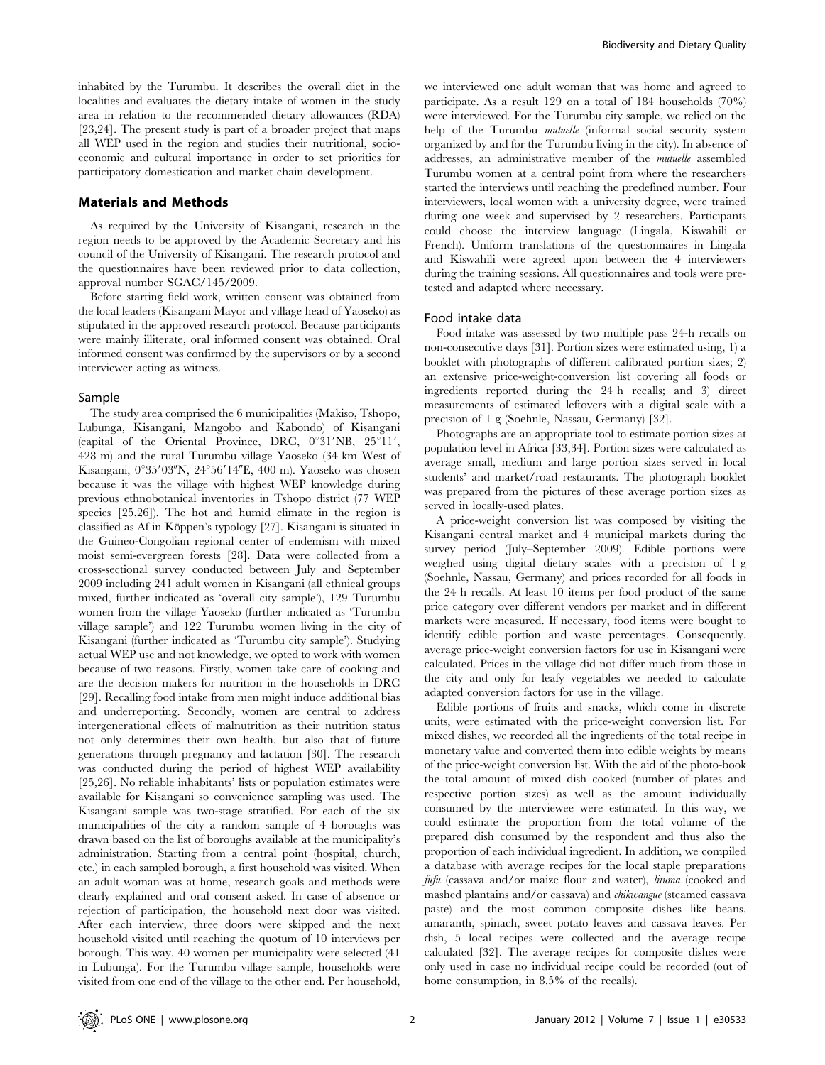inhabited by the Turumbu. It describes the overall diet in the localities and evaluates the dietary intake of women in the study area in relation to the recommended dietary allowances (RDA) [23,24]. The present study is part of a broader project that maps all WEP used in the region and studies their nutritional, socioeconomic and cultural importance in order to set priorities for participatory domestication and market chain development.

# Materials and Methods

As required by the University of Kisangani, research in the region needs to be approved by the Academic Secretary and his council of the University of Kisangani. The research protocol and the questionnaires have been reviewed prior to data collection, approval number SGAC/145/2009.

Before starting field work, written consent was obtained from the local leaders (Kisangani Mayor and village head of Yaoseko) as stipulated in the approved research protocol. Because participants were mainly illiterate, oral informed consent was obtained. Oral informed consent was confirmed by the supervisors or by a second interviewer acting as witness.

#### Sample

The study area comprised the 6 municipalities (Makiso, Tshopo, Lubunga, Kisangani, Mangobo and Kabondo) of Kisangani (capital of the Oriental Province, DRC,  $0^{\circ}31'NB$ ,  $25^{\circ}11'$ , 428 m) and the rural Turumbu village Yaoseko (34 km West of Kisangani, 0°35'03"N, 24°56'14"E, 400 m). Yaoseko was chosen because it was the village with highest WEP knowledge during previous ethnobotanical inventories in Tshopo district (77 WEP species [25,26]). The hot and humid climate in the region is classified as Af in Köppen's typology [27]. Kisangani is situated in the Guineo-Congolian regional center of endemism with mixed moist semi-evergreen forests [28]. Data were collected from a cross-sectional survey conducted between July and September 2009 including 241 adult women in Kisangani (all ethnical groups mixed, further indicated as 'overall city sample'), 129 Turumbu women from the village Yaoseko (further indicated as 'Turumbu village sample') and 122 Turumbu women living in the city of Kisangani (further indicated as 'Turumbu city sample'). Studying actual WEP use and not knowledge, we opted to work with women because of two reasons. Firstly, women take care of cooking and are the decision makers for nutrition in the households in DRC [29]. Recalling food intake from men might induce additional bias and underreporting. Secondly, women are central to address intergenerational effects of malnutrition as their nutrition status not only determines their own health, but also that of future generations through pregnancy and lactation [30]. The research was conducted during the period of highest WEP availability [25,26]. No reliable inhabitants' lists or population estimates were available for Kisangani so convenience sampling was used. The Kisangani sample was two-stage stratified. For each of the six municipalities of the city a random sample of 4 boroughs was drawn based on the list of boroughs available at the municipality's administration. Starting from a central point (hospital, church, etc.) in each sampled borough, a first household was visited. When an adult woman was at home, research goals and methods were clearly explained and oral consent asked. In case of absence or rejection of participation, the household next door was visited. After each interview, three doors were skipped and the next household visited until reaching the quotum of 10 interviews per borough. This way, 40 women per municipality were selected (41 in Lubunga). For the Turumbu village sample, households were visited from one end of the village to the other end. Per household,

we interviewed one adult woman that was home and agreed to participate. As a result 129 on a total of 184 households (70%) were interviewed. For the Turumbu city sample, we relied on the help of the Turumbu mutuelle (informal social security system organized by and for the Turumbu living in the city). In absence of addresses, an administrative member of the mutuelle assembled Turumbu women at a central point from where the researchers started the interviews until reaching the predefined number. Four interviewers, local women with a university degree, were trained during one week and supervised by 2 researchers. Participants could choose the interview language (Lingala, Kiswahili or French). Uniform translations of the questionnaires in Lingala and Kiswahili were agreed upon between the 4 interviewers during the training sessions. All questionnaires and tools were pretested and adapted where necessary.

#### Food intake data

Food intake was assessed by two multiple pass 24-h recalls on non-consecutive days [31]. Portion sizes were estimated using, 1) a booklet with photographs of different calibrated portion sizes; 2) an extensive price-weight-conversion list covering all foods or ingredients reported during the 24 h recalls; and 3) direct measurements of estimated leftovers with a digital scale with a precision of 1 g (Soehnle, Nassau, Germany) [32].

Photographs are an appropriate tool to estimate portion sizes at population level in Africa [33,34]. Portion sizes were calculated as average small, medium and large portion sizes served in local students' and market/road restaurants. The photograph booklet was prepared from the pictures of these average portion sizes as served in locally-used plates.

A price-weight conversion list was composed by visiting the Kisangani central market and 4 municipal markets during the survey period (July–September 2009). Edible portions were weighed using digital dietary scales with a precision of 1 g (Soehnle, Nassau, Germany) and prices recorded for all foods in the 24 h recalls. At least 10 items per food product of the same price category over different vendors per market and in different markets were measured. If necessary, food items were bought to identify edible portion and waste percentages. Consequently, average price-weight conversion factors for use in Kisangani were calculated. Prices in the village did not differ much from those in the city and only for leafy vegetables we needed to calculate adapted conversion factors for use in the village.

Edible portions of fruits and snacks, which come in discrete units, were estimated with the price-weight conversion list. For mixed dishes, we recorded all the ingredients of the total recipe in monetary value and converted them into edible weights by means of the price-weight conversion list. With the aid of the photo-book the total amount of mixed dish cooked (number of plates and respective portion sizes) as well as the amount individually consumed by the interviewee were estimated. In this way, we could estimate the proportion from the total volume of the prepared dish consumed by the respondent and thus also the proportion of each individual ingredient. In addition, we compiled a database with average recipes for the local staple preparations fufu (cassava and/or maize flour and water), lituma (cooked and mashed plantains and/or cassava) and chikwangue (steamed cassava paste) and the most common composite dishes like beans, amaranth, spinach, sweet potato leaves and cassava leaves. Per dish, 5 local recipes were collected and the average recipe calculated [32]. The average recipes for composite dishes were only used in case no individual recipe could be recorded (out of home consumption, in 8.5% of the recalls).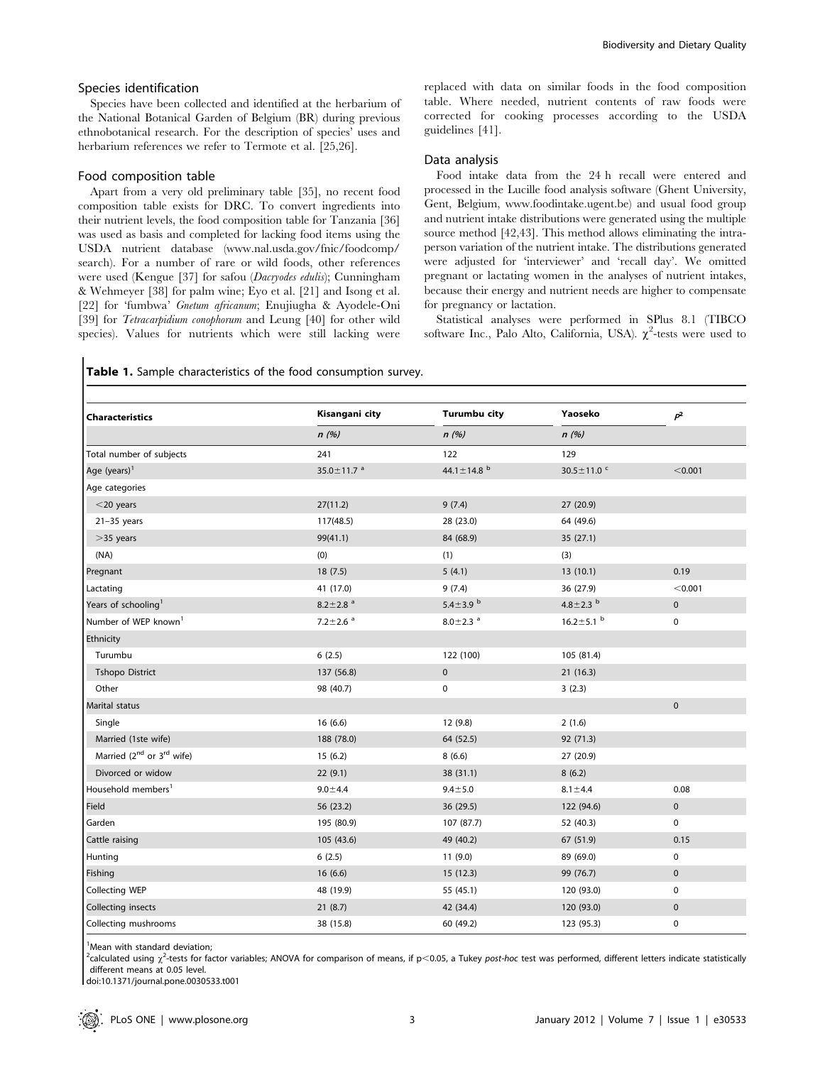# Species identification

Species have been collected and identified at the herbarium of the National Botanical Garden of Belgium (BR) during previous ethnobotanical research. For the description of species' uses and herbarium references we refer to Termote et al. [25,26].

#### Food composition table

 $\overline{\phantom{a}}$ 

Apart from a very old preliminary table [35], no recent food composition table exists for DRC. To convert ingredients into their nutrient levels, the food composition table for Tanzania [36] was used as basis and completed for lacking food items using the USDA nutrient database (www.nal.usda.gov/fnic/foodcomp/ search). For a number of rare or wild foods, other references were used (Kengue [37] for safou (Dacryodes edulis); Cunningham & Wehmeyer [38] for palm wine; Eyo et al. [21] and Isong et al. [22] for 'fumbwa' Gnetum africanum; Enujiugha & Ayodele-Oni [39] for *Tetracarpidium conophorum* and Leung [40] for other wild species). Values for nutrients which were still lacking were

replaced with data on similar foods in the food composition table. Where needed, nutrient contents of raw foods were corrected for cooking processes according to the USDA guidelines [41].

# Data analysis

Food intake data from the 24 h recall were entered and processed in the Lucille food analysis software (Ghent University, Gent, Belgium, www.foodintake.ugent.be) and usual food group and nutrient intake distributions were generated using the multiple source method [42,43]. This method allows eliminating the intraperson variation of the nutrient intake. The distributions generated were adjusted for 'interviewer' and 'recall day'. We omitted pregnant or lactating women in the analyses of nutrient intakes, because their energy and nutrient needs are higher to compensate for pregnancy or lactation.

Statistical analyses were performed in SPlus 8.1 (TIBCO software Inc., Palo Alto, California, USA).  $\chi^2$ -tests were used to

| <b>Table 1.</b> Sample characteristics of the food consumption survey. |  |  |  |  |  |
|------------------------------------------------------------------------|--|--|--|--|--|
|------------------------------------------------------------------------|--|--|--|--|--|

| <b>Characteristics</b>                            | Kisangani city             | Turumbu city                 | Yaoseko                      | $\rho^2$    |
|---------------------------------------------------|----------------------------|------------------------------|------------------------------|-------------|
|                                                   | n(%)                       | n(%)                         | n(%)                         |             |
| Total number of subjects                          | 241                        | 122                          | 129                          |             |
| Age (years) <sup>1</sup>                          | 35.0 $\pm$ 11.7 $a$        | 44.1 $\pm$ 14.8 <sup>b</sup> | $30.5 \pm 11.0$ <sup>c</sup> | < 0.001     |
| Age categories                                    |                            |                              |                              |             |
| $<$ 20 years                                      | 27(11.2)                   | 9(7.4)                       | 27 (20.9)                    |             |
| $21-35$ years                                     | 117(48.5)                  | 28 (23.0)                    | 64 (49.6)                    |             |
| $>35$ years                                       | 99(41.1)                   | 84 (68.9)                    | 35(27.1)                     |             |
| (NA)                                              | (0)                        | (1)                          | (3)                          |             |
| Pregnant                                          | 18(7.5)                    | 5(4.1)                       | 13(10.1)                     | 0.19        |
| Lactating                                         | 41 (17.0)                  | 9(7.4)                       | 36 (27.9)                    | < 0.001     |
| Years of schooling <sup>1</sup>                   | $8.2\pm2.8$ $^{\rm a}$     | 5.4 $\pm$ 3.9 $^{\rm b}$     | $4.8 \pm 2.3$ b              | $\pmb{0}$   |
| Number of WEP known <sup>1</sup>                  | $7.2 \pm 2.6$ <sup>a</sup> | $8.0 \pm 2.3$ <sup>a</sup>   | $16.2 \pm 5.1$ b             | $\pmb{0}$   |
| Ethnicity                                         |                            |                              |                              |             |
| Turumbu                                           | 6(2.5)                     | 122 (100)                    | 105 (81.4)                   |             |
| <b>Tshopo District</b>                            | 137 (56.8)                 | $\mathbf 0$                  | 21(16.3)                     |             |
| Other                                             | 98 (40.7)                  | 0                            | 3(2.3)                       |             |
| Marital status                                    |                            |                              |                              | $\pmb{0}$   |
| Single                                            | 16(6.6)                    | 12 (9.8)                     | 2(1.6)                       |             |
| Married (1ste wife)                               | 188 (78.0)                 | 64 (52.5)                    | 92 (71.3)                    |             |
| Married (2 <sup>nd</sup> or 3 <sup>rd</sup> wife) | 15(6.2)                    | 8(6.6)                       | 27 (20.9)                    |             |
| Divorced or widow                                 | 22(9.1)                    | 38 (31.1)                    | 8(6.2)                       |             |
| Household members <sup>1</sup>                    | $9.0 + 4.4$                | $9.4 + 5.0$                  | $8.1 \pm 4.4$                | 0.08        |
| Field                                             | 56 (23.2)                  | 36 (29.5)                    | 122 (94.6)                   | $\mathbf 0$ |
| Garden                                            | 195 (80.9)                 | 107 (87.7)                   | 52 (40.3)                    | $\mathbf 0$ |
| Cattle raising                                    | 105 (43.6)                 | 49 (40.2)                    | 67 (51.9)                    | 0.15        |
| Hunting                                           | 6(2.5)                     | 11(9.0)                      | 89 (69.0)                    | $\mathbf 0$ |
| Fishing                                           | 16(6.6)                    | 15(12.3)                     | 99 (76.7)                    | $\mathbf 0$ |
| Collecting WEP                                    | 48 (19.9)                  | 55 (45.1)                    | 120 (93.0)                   | $\pmb{0}$   |
| Collecting insects                                | 21(8.7)                    | 42 (34.4)                    | 120 (93.0)                   | $\pmb{0}$   |
| Collecting mushrooms                              | 38 (15.8)                  | 60 (49.2)                    | 123 (95.3)                   | $\mathbf 0$ |

<sup>1</sup> Mean with standard deviation;

<sup>2</sup>calculated using  $\chi^2$ -tests for factor variables; ANOVA for comparison of means, if p<0.05, a Tukey post-hoc test was performed, different letters indicate statistically different means at 0.05 level.

doi:10.1371/journal.pone.0030533.t001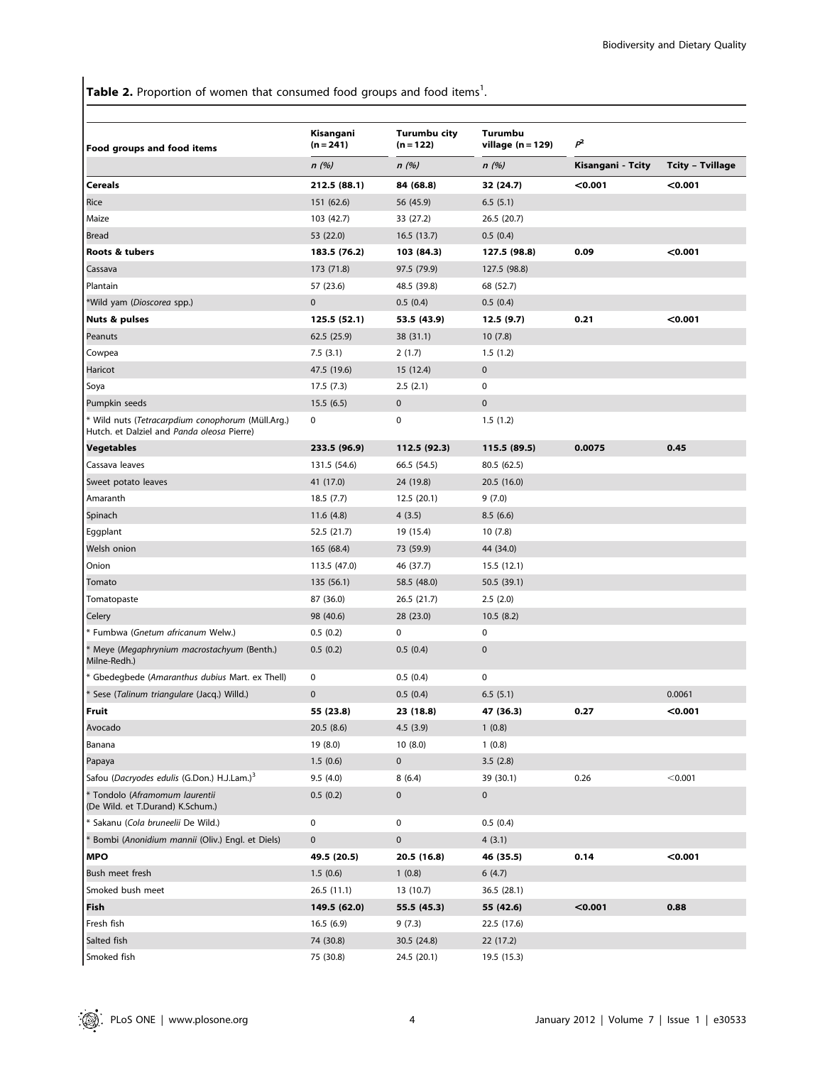Table 2. Proportion of women that consumed food groups and food items<sup>1</sup>.

| Food groups and food items                                                                      | Kisangani<br>$(n = 241)$ | Turumbu city<br>$(n = 122)$ | Turumbu<br>village $(n = 129)$ | $P^2$             |                         |
|-------------------------------------------------------------------------------------------------|--------------------------|-----------------------------|--------------------------------|-------------------|-------------------------|
|                                                                                                 | n(%)                     | n(%)                        | n(%)                           | Kisangani - Tcity | <b>Tcity - Tvillage</b> |
| Cereals                                                                                         | 212.5 (88.1)             | 84 (68.8)                   | 32 (24.7)                      | $<$ 0.001         | < 0.001                 |
| Rice                                                                                            | 151 (62.6)               | 56 (45.9)                   | 6.5(5.1)                       |                   |                         |
| Maize                                                                                           | 103 (42.7)               | 33 (27.2)                   | 26.5 (20.7)                    |                   |                         |
| <b>Bread</b>                                                                                    | 53 (22.0)                | 16.5(13.7)                  | 0.5(0.4)                       |                   |                         |
| Roots & tubers                                                                                  | 183.5 (76.2)             | 103 (84.3)                  | 127.5 (98.8)                   | 0.09              | < 0.001                 |
| Cassava                                                                                         | 173 (71.8)               | 97.5 (79.9)                 | 127.5 (98.8)                   |                   |                         |
| Plantain                                                                                        | 57 (23.6)                | 48.5 (39.8)                 | 68 (52.7)                      |                   |                         |
| *Wild yam (Dioscorea spp.)                                                                      | $\mathbf 0$              | 0.5(0.4)                    | 0.5(0.4)                       |                   |                         |
| <b>Nuts &amp; pulses</b>                                                                        | 125.5 (52.1)             | 53.5 (43.9)                 | 12.5(9.7)                      | 0.21              | < 0.001                 |
| Peanuts                                                                                         | 62.5 (25.9)              | 38 (31.1)                   | 10(7.8)                        |                   |                         |
| Cowpea                                                                                          | 7.5(3.1)                 | 2(1.7)                      | 1.5(1.2)                       |                   |                         |
| Haricot                                                                                         | 47.5 (19.6)              | 15 (12.4)                   | $\pmb{0}$                      |                   |                         |
| Soya                                                                                            | 17.5(7.3)                | 2.5(2.1)                    | 0                              |                   |                         |
| Pumpkin seeds                                                                                   | 15.5(6.5)                | $\mathbf 0$                 | $\mathbf 0$                    |                   |                         |
| * Wild nuts (Tetracarpdium conophorum (Müll.Arg.)<br>Hutch. et Dalziel and Panda oleosa Pierre) | $\mathbf 0$              | 0                           | 1.5(1.2)                       |                   |                         |
| <b>Vegetables</b>                                                                               | 233.5 (96.9)             | 112.5 (92.3)                | 115.5 (89.5)                   | 0.0075            | 0.45                    |
| Cassava leaves                                                                                  | 131.5 (54.6)             | 66.5 (54.5)                 | 80.5 (62.5)                    |                   |                         |
| Sweet potato leaves                                                                             | 41 (17.0)                | 24 (19.8)                   | 20.5 (16.0)                    |                   |                         |
| Amaranth                                                                                        | 18.5(7.7)                | 12.5(20.1)                  | 9(7.0)                         |                   |                         |
| Spinach                                                                                         | 11.6(4.8)                | 4(3.5)                      | 8.5(6.6)                       |                   |                         |
| Eggplant                                                                                        | 52.5 (21.7)              | 19 (15.4)                   | 10(7.8)                        |                   |                         |
| Welsh onion                                                                                     | 165 (68.4)               | 73 (59.9)                   | 44 (34.0)                      |                   |                         |
| Onion                                                                                           | 113.5 (47.0)             | 46 (37.7)                   | 15.5 (12.1)                    |                   |                         |
| Tomato                                                                                          | 135 (56.1)               | 58.5 (48.0)                 | 50.5 (39.1)                    |                   |                         |
| Tomatopaste                                                                                     | 87 (36.0)                | 26.5 (21.7)                 | 2.5(2.0)                       |                   |                         |
| Celery                                                                                          | 98 (40.6)                | 28 (23.0)                   | 10.5(8.2)                      |                   |                         |
| * Fumbwa (Gnetum africanum Welw.)                                                               | 0.5(0.2)                 | 0                           | 0                              |                   |                         |
| * Meye (Megaphrynium macrostachyum (Benth.)<br>Milne-Redh.)                                     | 0.5(0.2)                 | 0.5(0.4)                    | 0                              |                   |                         |
| <sup>*</sup> Gbedegbede (Amaranthus dubius Mart. ex Thell)                                      | 0                        | 0.5(0.4)                    | 0                              |                   |                         |
| * Sese (Talinum triangulare (Jacq.) Willd.)                                                     | $\mathbf 0$              | 0.5(0.4)                    | 6.5(5.1)                       |                   | 0.0061                  |
| Fruit                                                                                           | 55 (23.8)                | 23 (18.8)                   | 47 (36.3)                      | 0.27              | $0.001$                 |
| Avocado                                                                                         | 20.5(8.6)                | 4.5 (3.9)                   | 1(0.8)                         |                   |                         |
| Banana                                                                                          | 19 (8.0)                 | 10(8.0)                     | 1(0.8)                         |                   |                         |
| Papaya                                                                                          | 1.5(0.6)                 | $\pmb{0}$                   | 3.5(2.8)                       |                   |                         |
| Safou (Dacryodes edulis (G.Don.) H.J.Lam.) <sup>3</sup>                                         | 9.5(4.0)                 | 8(6.4)                      | 39 (30.1)                      | 0.26              | < 0.001                 |
| * Tondolo (Aframomum laurentii<br>(De Wild. et T.Durand) K.Schum.)                              | 0.5(0.2)                 | $\pmb{0}$                   | 0                              |                   |                         |
| * Sakanu (Cola bruneelii De Wild.)                                                              | 0                        | 0                           | 0.5(0.4)                       |                   |                         |
| Bombi (Anonidium mannii (Oliv.) Engl. et Diels)                                                 | $\mathbf 0$              | $\mathbf 0$                 | 4(3.1)                         |                   |                         |
| <b>MPO</b>                                                                                      | 49.5 (20.5)              | 20.5 (16.8)                 | 46 (35.5)                      | 0.14              | < 0.001                 |
| Bush meet fresh                                                                                 | 1.5(0.6)                 | 1(0.8)                      | 6(4.7)                         |                   |                         |
| Smoked bush meet                                                                                | 26.5(11.1)               | 13 (10.7)                   | 36.5(28.1)                     |                   |                         |
| Fish                                                                                            | 149.5 (62.0)             | 55.5 (45.3)                 | 55 (42.6)                      | < 0.001           | 0.88                    |
| Fresh fish                                                                                      | 16.5(6.9)                | 9(7.3)                      | 22.5 (17.6)                    |                   |                         |
| Salted fish                                                                                     | 74 (30.8)                | 30.5 (24.8)                 | 22 (17.2)                      |                   |                         |
| Smoked fish                                                                                     | 75 (30.8)                | 24.5 (20.1)                 | 19.5 (15.3)                    |                   |                         |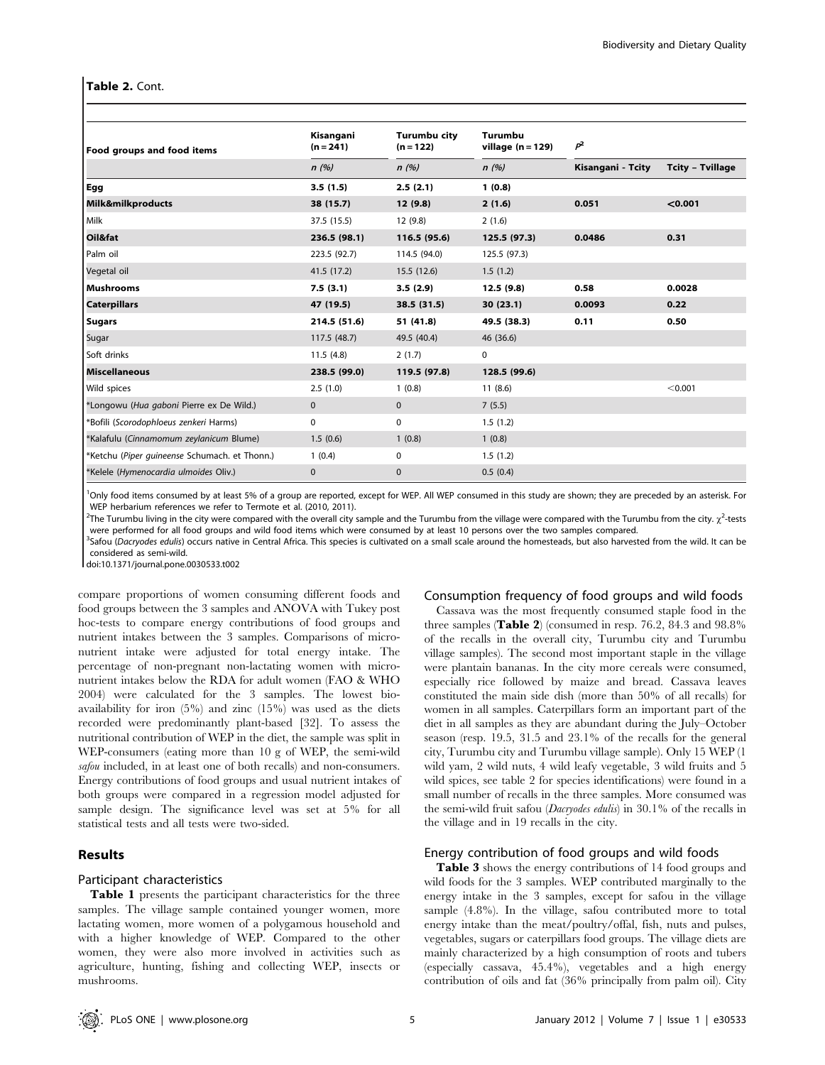# Table 2. Cont.

| Food groups and food items                    | Kisangani<br>$(n = 241)$ | Turumbu city<br>$(n = 122)$ | Turumbu<br>village $(n = 129)$ | p <sup>2</sup>    |                         |
|-----------------------------------------------|--------------------------|-----------------------------|--------------------------------|-------------------|-------------------------|
|                                               | n(%)                     | n(%)                        | n(%)                           | Kisangani - Tcity | <b>Tcity - Tvillage</b> |
| Egg                                           | 3.5(1.5)                 | 2.5(2.1)                    | 1(0.8)                         |                   |                         |
| Milk&milkproducts                             | 38 (15.7)                | 12(9.8)                     | 2(1.6)                         | 0.051             | < 0.001                 |
| Milk                                          | 37.5 (15.5)              | 12 (9.8)                    | 2(1.6)                         |                   |                         |
| Oil&fat                                       | 236.5 (98.1)             | 116.5 (95.6)                | 125.5 (97.3)                   | 0.0486            | 0.31                    |
| Palm oil                                      | 223.5 (92.7)             | 114.5 (94.0)                | 125.5 (97.3)                   |                   |                         |
| Vegetal oil                                   | 41.5 (17.2)              | 15.5(12.6)                  | 1.5(1.2)                       |                   |                         |
| <b>Mushrooms</b>                              | 7.5(3.1)                 | 3.5(2.9)                    | 12.5(9.8)                      | 0.58              | 0.0028                  |
| <b>Caterpillars</b>                           | 47 (19.5)                | 38.5 (31.5)                 | 30(23.1)                       | 0.0093            | 0.22                    |
| <b>Sugars</b>                                 | 214.5 (51.6)             | 51 (41.8)                   | 49.5 (38.3)                    | 0.11              | 0.50                    |
| Sugar                                         | 117.5 (48.7)             | 49.5 (40.4)                 | 46 (36.6)                      |                   |                         |
| Soft drinks                                   | 11.5(4.8)                | 2(1.7)                      | 0                              |                   |                         |
| <b>Miscellaneous</b>                          | 238.5 (99.0)             | 119.5 (97.8)                | 128.5 (99.6)                   |                   |                         |
| Wild spices                                   | 2.5(1.0)                 | 1(0.8)                      | 11(8.6)                        |                   | < 0.001                 |
| *Longowu (Hua gaboni Pierre ex De Wild.)      | $\mathbf{0}$             | $\mathbf{0}$                | 7(5.5)                         |                   |                         |
| *Bofili (Scorodophloeus zenkeri Harms)        | $\mathbf 0$              | $\mathbf 0$                 | 1.5(1.2)                       |                   |                         |
| *Kalafulu (Cinnamomum zeylanicum Blume)       | 1.5(0.6)                 | 1(0.8)                      | 1(0.8)                         |                   |                         |
| *Ketchu (Piper quineense Schumach. et Thonn.) | 1(0.4)                   | 0                           | 1.5(1.2)                       |                   |                         |
| *Kelele (Hymenocardia ulmoides Oliv.)         | $\mathbf{0}$             | $\mathbf{0}$                | 0.5(0.4)                       |                   |                         |

<sup>1</sup>Only food items consumed by at least 5% of a group are reported, except for WEP. All WEP consumed in this study are shown; they are preceded by an asterisk. For WEP herbarium references we refer to Termote et al. (2010, 2011).

<sup>2</sup>The Turumbu living in the city were compared with the overall city sample and the Turumbu from the village were compared with the Turumbu from the city.  $\chi^2$ -tests were performed for all food groups and wild food items which were consumed by at least 10 persons over the two samples compared.

<sup>3</sup>Safou (Dacryodes edulis) occurs native in Central Africa. This species is cultivated on a small scale around the homesteads, but also harvested from the wild. It can be considered as semi-wild.

doi:10.1371/journal.pone.0030533.t002

compare proportions of women consuming different foods and food groups between the 3 samples and ANOVA with Tukey post hoc-tests to compare energy contributions of food groups and nutrient intakes between the 3 samples. Comparisons of micronutrient intake were adjusted for total energy intake. The percentage of non-pregnant non-lactating women with micronutrient intakes below the RDA for adult women (FAO & WHO 2004) were calculated for the 3 samples. The lowest bioavailability for iron  $(5\%)$  and zinc  $(15\%)$  was used as the diets recorded were predominantly plant-based [32]. To assess the nutritional contribution of WEP in the diet, the sample was split in WEP-consumers (eating more than 10 g of WEP, the semi-wild safou included, in at least one of both recalls) and non-consumers. Energy contributions of food groups and usual nutrient intakes of both groups were compared in a regression model adjusted for sample design. The significance level was set at 5% for all statistical tests and all tests were two-sided.

#### Results

# Participant characteristics

Table 1 presents the participant characteristics for the three samples. The village sample contained younger women, more lactating women, more women of a polygamous household and with a higher knowledge of WEP. Compared to the other women, they were also more involved in activities such as agriculture, hunting, fishing and collecting WEP, insects or mushrooms.

#### Consumption frequency of food groups and wild foods

Cassava was the most frequently consumed staple food in the three samples (Table 2) (consumed in resp. 76.2, 84.3 and 98.8% of the recalls in the overall city, Turumbu city and Turumbu village samples). The second most important staple in the village were plantain bananas. In the city more cereals were consumed, especially rice followed by maize and bread. Cassava leaves constituted the main side dish (more than 50% of all recalls) for women in all samples. Caterpillars form an important part of the diet in all samples as they are abundant during the July–October season (resp. 19.5, 31.5 and 23.1% of the recalls for the general city, Turumbu city and Turumbu village sample). Only 15 WEP (1 wild yam, 2 wild nuts, 4 wild leafy vegetable, 3 wild fruits and 5 wild spices, see table 2 for species identifications) were found in a small number of recalls in the three samples. More consumed was the semi-wild fruit safou (Dacryodes edulis) in 30.1% of the recalls in the village and in 19 recalls in the city.

# Energy contribution of food groups and wild foods

**Table 3** shows the energy contributions of 14 food groups and wild foods for the 3 samples. WEP contributed marginally to the energy intake in the 3 samples, except for safou in the village sample (4.8%). In the village, safou contributed more to total energy intake than the meat/poultry/offal, fish, nuts and pulses, vegetables, sugars or caterpillars food groups. The village diets are mainly characterized by a high consumption of roots and tubers (especially cassava, 45.4%), vegetables and a high energy contribution of oils and fat (36% principally from palm oil). City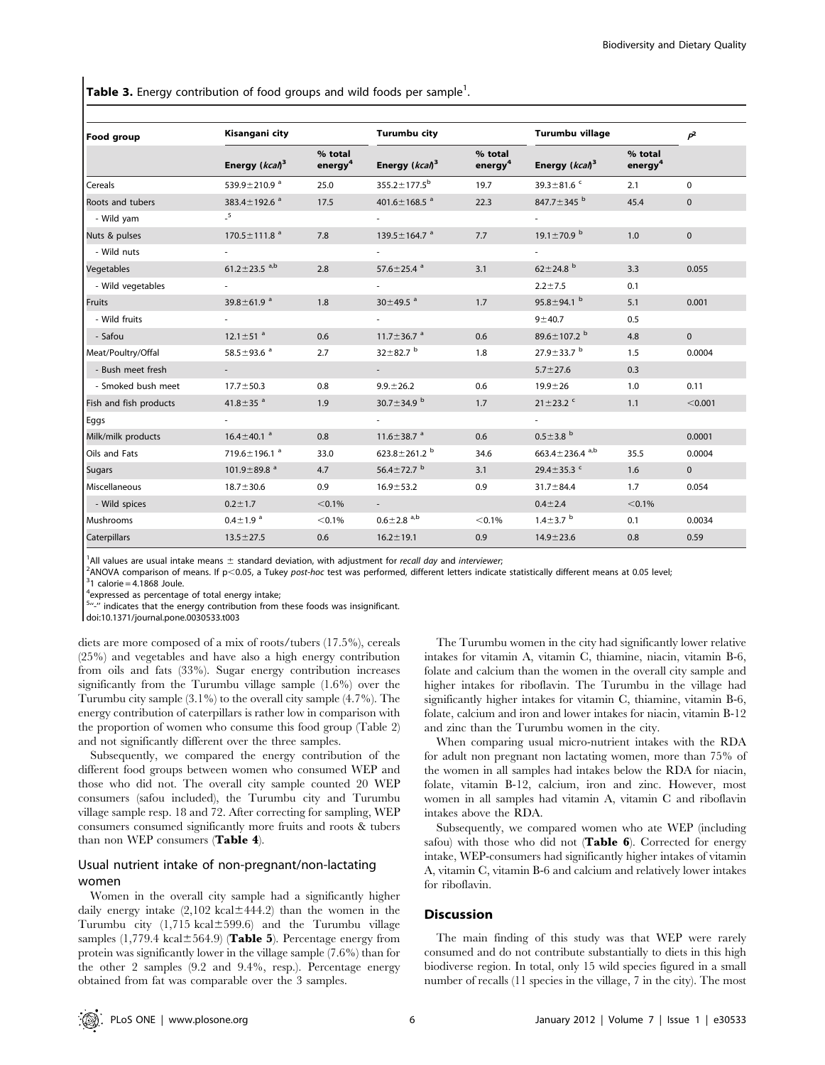Table 3. Energy contribution of food groups and wild foods per sample<sup>1</sup>.

| Food group             | Kisangani city                 |                                |                                | <b>Turumbu city</b>            |                              | Turumbu village                |              |
|------------------------|--------------------------------|--------------------------------|--------------------------------|--------------------------------|------------------------------|--------------------------------|--------------|
|                        | Energy $(kca)^3$               | % total<br>energy <sup>4</sup> | Energy $(kca)^3$               | % total<br>energy <sup>4</sup> | Energy $(kca)^3$             | % total<br>energy <sup>4</sup> |              |
| Cereals                | 539.9 $\pm$ 210.9 $a$          | 25.0                           | $355.2 \pm 177.5^{\rm b}$      | 19.7                           | 39.3 $\pm$ 81.6 $c$          | 2.1                            | $\mathbf 0$  |
| Roots and tubers       | 383.4 $\pm$ 192.6 $a$          | 17.5                           | 401.6 $\pm$ 168.5 $a$          | 22.3                           | 847.7 $\pm$ 345 $^{\rm b}$   | 45.4                           | $\mathbf 0$  |
| - Wild yam             | $\overline{\phantom{0}}^5$     |                                | $\sim$                         |                                | $\sim$                       |                                |              |
| Nuts & pulses          | $170.5 \pm 111.8$ <sup>a</sup> | 7.8                            | $139.5 \pm 164.7$ <sup>a</sup> | 7.7                            | 19.1 $\pm$ 70.9 <sup>b</sup> | 1.0                            | $\mathbf 0$  |
| - Wild nuts            |                                |                                |                                |                                |                              |                                |              |
| Vegetables             | 61.2 $\pm$ 23.5 a,b            | 2.8                            | 57.6 $\pm$ 25.4 $a$            | 3.1                            | $62 \pm 24.8$ <sup>b</sup>   | 3.3                            | 0.055        |
| - Wild vegetables      |                                |                                |                                |                                | $2.2 \pm 7.5$                | 0.1                            |              |
| Fruits                 | 39.8 $\pm$ 61.9 $a$            | 1.8                            | $30 \pm 49.5$ <sup>a</sup>     | 1.7                            | 95.8 $\pm$ 94.1 $^{\rm b}$   | 5.1                            | 0.001        |
| - Wild fruits          | $\sim$                         |                                | $\sim$                         |                                | $9 + 40.7$                   | 0.5                            |              |
| - Safou                | 12.1 $\pm$ 51 $a$              | 0.6                            | 11.7 $\pm$ 36.7 $a$            | 0.6                            | 89.6 $\pm$ 107.2 b           | 4.8                            | $\mathbf{0}$ |
| Meat/Poultry/Offal     | 58.5 $\pm$ 93.6 $a$            | 2.7                            | $32 \pm 82.7$ b                | 1.8                            | $27.9 \pm 33.7$ b            | 1.5                            | 0.0004       |
| - Bush meet fresh      |                                |                                | $\sim$                         |                                | $5.7 \pm 27.6$               | 0.3                            |              |
| - Smoked bush meet     | $17.7 \pm 50.3$                | 0.8                            | $9.9 \pm 26.2$                 | 0.6                            | $19.9 \pm 26$                | 1.0                            | 0.11         |
| Fish and fish products | 41.8 $\pm$ 35 $a$              | 1.9                            | 30.7 $\pm$ 34.9 $^{\rm b}$     | 1.7                            | $21 \pm 23.2$ c              | 1.1                            | < 0.001      |
| Eggs                   |                                |                                |                                |                                |                              |                                |              |
| Milk/milk products     | $16.4 \pm 40.1$ <sup>a</sup>   | 0.8                            | $11.6 \pm 38.7$ <sup>a</sup>   | 0.6                            | $0.5 \pm 3.8$ b              |                                | 0.0001       |
| Oils and Fats          | 719.6 $\pm$ 196.1 $^a$         | 33.0                           | 623.8 $\pm$ 261.2 $^{\rm b}$   | 34.6                           | 663.4 $\pm$ 236.4 a,b        | 35.5                           | 0.0004       |
| Sugars                 | 101.9 $\pm$ 89.8 $^{a}$        | 4.7                            | 56.4 $\pm$ 72.7 $^{\rm b}$     | 3.1                            | 29.4 $\pm$ 35.3 $\degree$    | 1.6                            | $\Omega$     |
| Miscellaneous          | $18.7 \pm 30.6$                | 0.9                            | $16.9 \pm 53.2$                | 0.9                            | $31.7 \pm 84.4$              | 1.7                            | 0.054        |
| - Wild spices          | $0.2 \pm 1.7$                  | < 0.1%                         | $\sim$                         |                                | $0.4 + 2.4$                  | < 0.1%                         |              |
| Mushrooms              | $0.4 \pm 1.9$ <sup>a</sup>     | $< 0.1\%$                      | $0.6 \pm 2.8$ <sup>a,b</sup>   | < 0.1%                         | $1.4 \pm 3.7$ b              | 0.1                            | 0.0034       |
| Caterpillars           | $13.5 \pm 27.5$                | 0.6                            | $16.2 \pm 19.1$                | 0.9                            | $14.9 \pm 23.6$              | 0.8                            | 0.59         |

<sup>1</sup>All values are usual intake means  $\pm$  standard deviation, with adjustment for *recall day* and *interviewer;*<br><sup>2</sup>ANOVA comparison of moans. If p<0.05, a Tukey perf her test was performed different letters indicate

PANOVA comparison of means. If p<0.05, a Tukey post-hoc test was performed, different letters indicate statistically different means at 0.05 level;

 $31$  calorie = 4.1868 Joule.

4expressed as percentage of total energy intake;<br><sup>Su\_u</sup>' indicates that the energy contribution from these foods was insignificant.

doi:10.1371/journal.pone.0030533.t003

diets are more composed of a mix of roots/tubers (17.5%), cereals (25%) and vegetables and have also a high energy contribution from oils and fats (33%). Sugar energy contribution increases significantly from the Turumbu village sample (1.6%) over the Turumbu city sample (3.1%) to the overall city sample (4.7%). The energy contribution of caterpillars is rather low in comparison with the proportion of women who consume this food group (Table 2) and not significantly different over the three samples.

Subsequently, we compared the energy contribution of the different food groups between women who consumed WEP and those who did not. The overall city sample counted 20 WEP consumers (safou included), the Turumbu city and Turumbu village sample resp. 18 and 72. After correcting for sampling, WEP consumers consumed significantly more fruits and roots & tubers than non WEP consumers (Table 4).

# Usual nutrient intake of non-pregnant/non-lactating women

Women in the overall city sample had a significantly higher daily energy intake  $(2,102 \text{ kcal} \pm 444.2)$  than the women in the Turumbu city  $(1,715 \text{ kcal} \pm 599.6)$  and the Turumbu village samples  $(1,779.4 \text{ kcal} \pm 564.9)$  (Table 5). Percentage energy from protein was significantly lower in the village sample (7.6%) than for the other 2 samples (9.2 and 9.4%, resp.). Percentage energy obtained from fat was comparable over the 3 samples.

The Turumbu women in the city had significantly lower relative intakes for vitamin A, vitamin C, thiamine, niacin, vitamin B-6, folate and calcium than the women in the overall city sample and higher intakes for riboflavin. The Turumbu in the village had significantly higher intakes for vitamin C, thiamine, vitamin B-6, folate, calcium and iron and lower intakes for niacin, vitamin B-12 and zinc than the Turumbu women in the city.

When comparing usual micro-nutrient intakes with the RDA for adult non pregnant non lactating women, more than 75% of the women in all samples had intakes below the RDA for niacin, folate, vitamin B-12, calcium, iron and zinc. However, most women in all samples had vitamin A, vitamin C and riboflavin intakes above the RDA.

Subsequently, we compared women who ate WEP (including safou) with those who did not (Table 6). Corrected for energy intake, WEP-consumers had significantly higher intakes of vitamin A, vitamin C, vitamin B-6 and calcium and relatively lower intakes for riboflavin.

#### **Discussion**

The main finding of this study was that WEP were rarely consumed and do not contribute substantially to diets in this high biodiverse region. In total, only 15 wild species figured in a small number of recalls (11 species in the village, 7 in the city). The most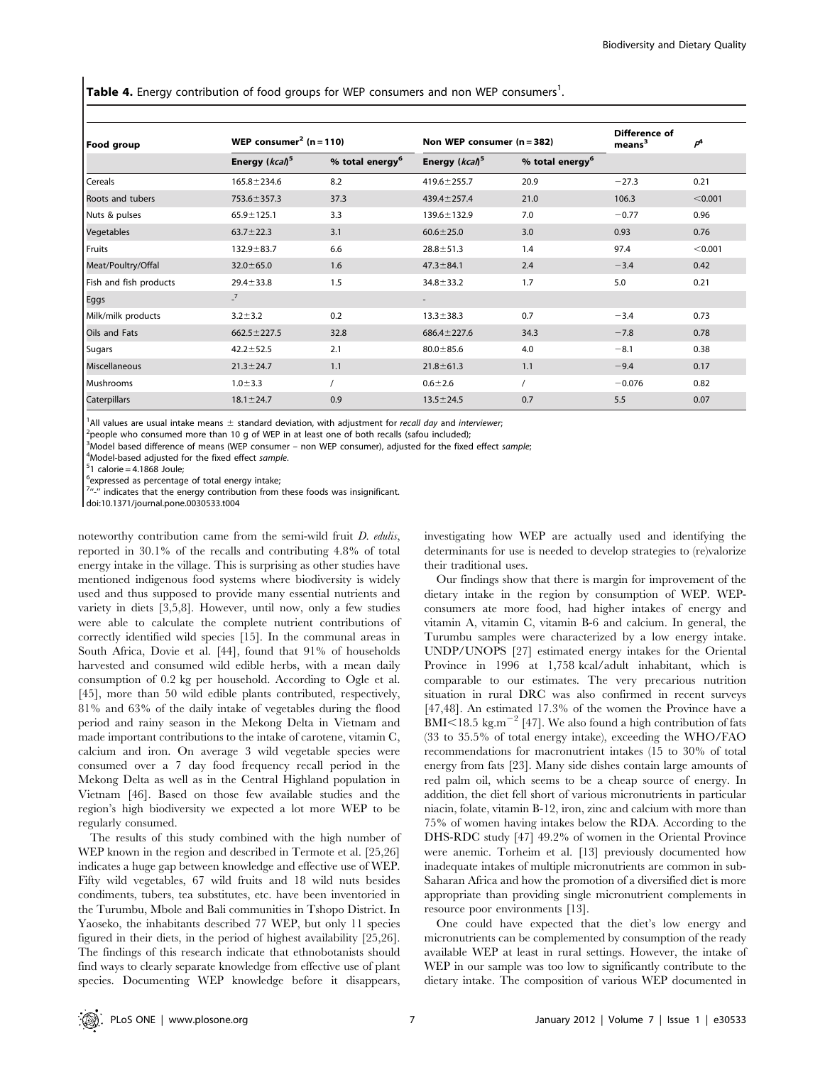Table 4. Energy contribution of food groups for WEP consumers and non WEP consumers<sup>1</sup>.

| Food group             | WEP consumer <sup>2</sup> ( $n = 110$ ) |                             | Non WEP consumer $(n = 382)$ |                             | Difference of<br>means <sup>3</sup> | $\boldsymbol{\rho}^{\!\!\mathbf{A}}$ |
|------------------------|-----------------------------------------|-----------------------------|------------------------------|-----------------------------|-------------------------------------|--------------------------------------|
|                        | Energy (kcal) <sup>5</sup>              | % total energy <sup>6</sup> | Energy (kcal) <sup>5</sup>   | % total energy <sup>6</sup> |                                     |                                      |
| Cereals                | $165.8 \pm 234.6$                       | 8.2                         | $419.6 \pm 255.7$            | 20.9                        | $-27.3$                             | 0.21                                 |
| Roots and tubers       | 753.6 ± 357.3                           | 37.3                        | $439.4 \pm 257.4$            | 21.0                        | 106.3                               | < 0.001                              |
| Nuts & pulses          | $65.9 \pm 125.1$                        | 3.3                         | 139.6 ± 132.9                | 7.0                         | $-0.77$                             | 0.96                                 |
| Vegetables             | $63.7 \pm 22.3$                         | 3.1                         | $60.6 \pm 25.0$              | 3.0                         | 0.93                                | 0.76                                 |
| Fruits                 | $132.9 \pm 83.7$                        | 6.6                         | $28.8 \pm 51.3$              | 1.4                         | 97.4                                | < 0.001                              |
| Meat/Poultry/Offal     | $32.0 \pm 65.0$                         | 1.6                         | $47.3 \pm 84.1$              | 2.4                         | $-3.4$                              | 0.42                                 |
| Fish and fish products | $29.4 \pm 33.8$                         | 1.5                         | $34.8 \pm 33.2$              | 1.7                         | 5.0                                 | 0.21                                 |
| Eggs                   | $\mathbf{I}$                            |                             | $\overline{\phantom{a}}$     |                             |                                     |                                      |
| Milk/milk products     | $3.2 + 3.2$                             | 0.2                         | $13.3 \pm 38.3$              | 0.7                         | $-3.4$                              | 0.73                                 |
| Oils and Fats          | $662.5 \pm 227.5$                       | 32.8                        | $686.4 \pm 227.6$            | 34.3                        | $-7.8$                              | 0.78                                 |
| Sugars                 | $42.2 \pm 52.5$                         | 2.1                         | $80.0 + 85.6$                | 4.0                         | $-8.1$                              | 0.38                                 |
| Miscellaneous          | $21.3 \pm 24.7$                         | 1.1                         | $21.8 \pm 61.3$              | 1.1                         | $-9.4$                              | 0.17                                 |
| Mushrooms              | $1.0 + 3.3$                             |                             | $0.6 + 2.6$                  |                             | $-0.076$                            | 0.82                                 |
| Caterpillars           | $18.1 \pm 24.7$                         | 0.9                         | $13.5 \pm 24.5$              | 0.7                         | 5.5                                 | 0.07                                 |

<sup>1</sup>All values are usual intake means  $\pm$  standard deviation, with adjustment for *recall day* and *interviewer*; <sup>2</sup> people who consumed more than 10 g of MEP in at least one of both recalls (safou included);

 $^2$ people who consumed more than 10 g of WEP in at least one of both recalls (safou included);

<sup>3</sup>Model based difference of means (WEP consumer – non WEP consumer), adjusted for the fixed effect sample;<br><sup>4</sup>Model based adjusted for the fixed effect sample.

<sup>4</sup>Model-based adjusted for the fixed effect sample.

 $5$ 1 calorie = 4.1868 Joule:

<sup>6</sup> expressed as percentage of total energy intake;

 $7''$ -" indicates that the energy contribution from these foods was insignificant.

doi:10.1371/journal.pone.0030533.t004

noteworthy contribution came from the semi-wild fruit D. edulis, reported in 30.1% of the recalls and contributing 4.8% of total energy intake in the village. This is surprising as other studies have mentioned indigenous food systems where biodiversity is widely used and thus supposed to provide many essential nutrients and variety in diets [3,5,8]. However, until now, only a few studies were able to calculate the complete nutrient contributions of correctly identified wild species [15]. In the communal areas in South Africa, Dovie et al. [44], found that 91% of households harvested and consumed wild edible herbs, with a mean daily consumption of 0.2 kg per household. According to Ogle et al. [45], more than 50 wild edible plants contributed, respectively, 81% and 63% of the daily intake of vegetables during the flood period and rainy season in the Mekong Delta in Vietnam and made important contributions to the intake of carotene, vitamin C, calcium and iron. On average 3 wild vegetable species were consumed over a 7 day food frequency recall period in the Mekong Delta as well as in the Central Highland population in Vietnam [46]. Based on those few available studies and the region's high biodiversity we expected a lot more WEP to be regularly consumed.

The results of this study combined with the high number of WEP known in the region and described in Termote et al. [25,26] indicates a huge gap between knowledge and effective use of WEP. Fifty wild vegetables, 67 wild fruits and 18 wild nuts besides condiments, tubers, tea substitutes, etc. have been inventoried in the Turumbu, Mbole and Bali communities in Tshopo District. In Yaoseko, the inhabitants described 77 WEP, but only 11 species figured in their diets, in the period of highest availability [25,26]. The findings of this research indicate that ethnobotanists should find ways to clearly separate knowledge from effective use of plant species. Documenting WEP knowledge before it disappears,

investigating how WEP are actually used and identifying the determinants for use is needed to develop strategies to (re)valorize their traditional uses.

Our findings show that there is margin for improvement of the dietary intake in the region by consumption of WEP. WEPconsumers ate more food, had higher intakes of energy and vitamin A, vitamin C, vitamin B-6 and calcium. In general, the Turumbu samples were characterized by a low energy intake. UNDP/UNOPS [27] estimated energy intakes for the Oriental Province in 1996 at 1,758 kcal/adult inhabitant, which is comparable to our estimates. The very precarious nutrition situation in rural DRC was also confirmed in recent surveys [47,48]. An estimated 17.3% of the women the Province have a BMI $<$ 18.5 kg.m<sup>-2</sup> [47]. We also found a high contribution of fats (33 to 35.5% of total energy intake), exceeding the WHO/FAO recommendations for macronutrient intakes (15 to 30% of total energy from fats [23]. Many side dishes contain large amounts of red palm oil, which seems to be a cheap source of energy. In addition, the diet fell short of various micronutrients in particular niacin, folate, vitamin B-12, iron, zinc and calcium with more than 75% of women having intakes below the RDA. According to the DHS-RDC study [47] 49.2% of women in the Oriental Province were anemic. Torheim et al. [13] previously documented how inadequate intakes of multiple micronutrients are common in sub-Saharan Africa and how the promotion of a diversified diet is more appropriate than providing single micronutrient complements in resource poor environments [13].

One could have expected that the diet's low energy and micronutrients can be complemented by consumption of the ready available WEP at least in rural settings. However, the intake of WEP in our sample was too low to significantly contribute to the dietary intake. The composition of various WEP documented in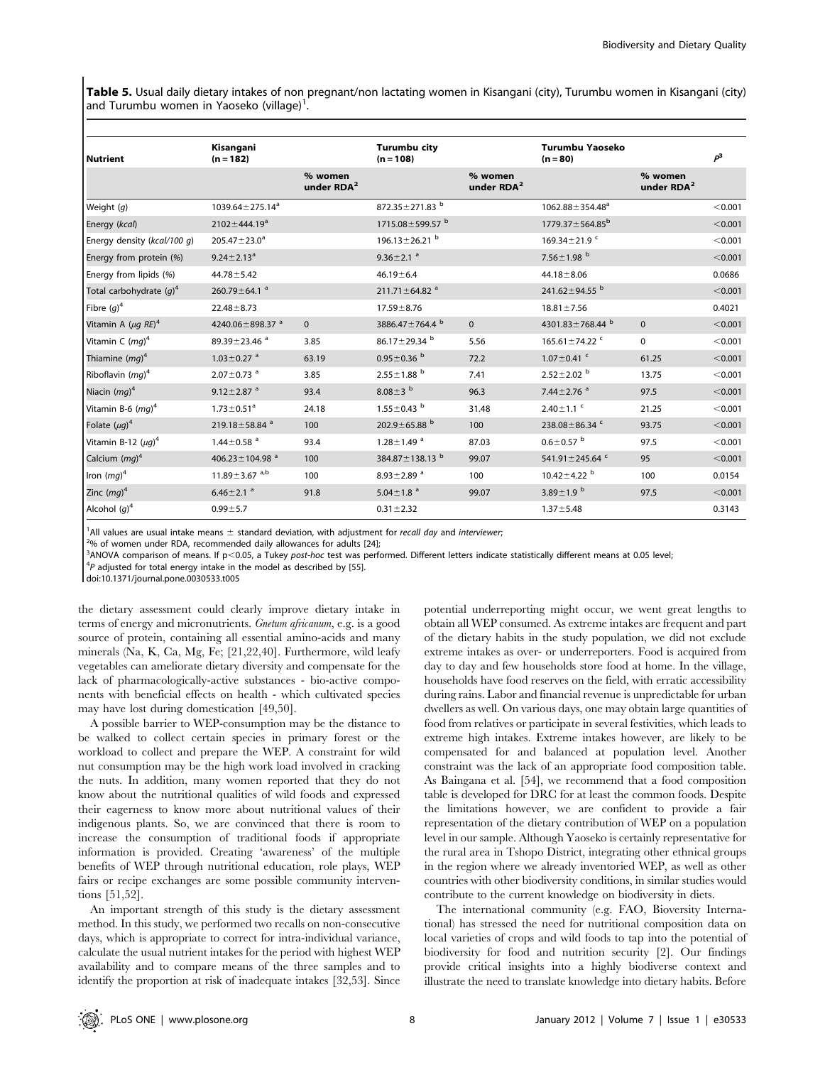Table 5. Usual daily dietary intakes of non pregnant/non lactating women in Kisangani (city), Turumbu women in Kisangani (city) and Turumbu women in Yaoseko (village)<sup>1</sup>.

| Nutrient                             | Kisangani<br>$(n = 182)$          |                                   | Turumbu city<br>$(n = 108)$   |                                   | Turumbu Yaoseko<br>$(n = 80)$ |                                   | $\rho^3$ |
|--------------------------------------|-----------------------------------|-----------------------------------|-------------------------------|-----------------------------------|-------------------------------|-----------------------------------|----------|
|                                      |                                   | % women<br>under RDA <sup>2</sup> |                               | % women<br>under RDA <sup>2</sup> |                               | % women<br>under RDA <sup>2</sup> |          |
| Weight (g)                           | 1039.64 $\pm$ 275.14 <sup>a</sup> |                                   | 872.35 ± 271.83 $^{\rm b}$    |                                   | $1062.88 \pm 354.48^a$        |                                   | < 0.001  |
| Energy (kcal)                        | $2102 \pm 444.19^a$               |                                   | 1715.08±599.57 b              |                                   | $1779.37 \pm 564.85^b$        |                                   | < 0.001  |
| Energy density (kcal/100 g)          | 205.47 $\pm$ 23.0 <sup>a</sup>    |                                   | 196.13 $\pm$ 26.21 $^{\rm b}$ |                                   | 169.34 $\pm$ 21.9 $\degree$   |                                   | < 0.001  |
| Energy from protein (%)              | $9.24 \pm 2.13^a$                 |                                   | $9.36 \pm 2.1$ <sup>a</sup>   |                                   | $7.56 \pm 1.98$ <sup>b</sup>  |                                   | < 0.001  |
| Energy from lipids (%)               | $44.78 \pm 5.42$                  |                                   | $46.19 \pm 6.4$               |                                   | $44.18 \pm 8.06$              |                                   | 0.0686   |
| Total carbohydrate $(q)^4$           | 260.79 $\pm$ 64.1 $^a$            |                                   | 211.71 $\pm$ 64.82 $^{\circ}$ |                                   | 241.62 ± 94.55 $^{\rm b}$     |                                   | < 0.001  |
| Fibre $(g)^4$                        | $22.48 \pm 8.73$                  |                                   | $17.59 \pm 8.76$              |                                   | $18.81 \pm 7.56$              |                                   | 0.4021   |
| Vitamin A ( $\mu$ g RE) <sup>4</sup> | 4240.06±898.37 <sup>a</sup>       | $\mathbf{0}$                      | 3886.47±764.4 b               | $\mathbf{0}$                      | 4301.83 ± 768.44 b            | $\Omega$                          | < 0.001  |
| Vitamin C $(mq)^4$                   | 89.39 $\pm$ 23.46 $^a$            | 3.85                              | 86.17 ± 29.34 $^{\rm b}$      | 5.56                              | 165.61 $\pm$ 74.22 $\degree$  | 0                                 | < 0.001  |
| Thiamine $(mq)^4$                    | $1.03 \pm 0.27$ <sup>a</sup>      | 63.19                             | $0.95 \pm 0.36$ b             | 72.2                              | $1.07 \pm 0.41$ <sup>c</sup>  | 61.25                             | < 0.001  |
| Riboflavin $(mg)^4$                  | $2.07 \pm 0.73$ <sup>a</sup>      | 3.85                              | $2.55 \pm 1.88$ b             | 7.41                              | $2.52 \pm 2.02$ b             | 13.75                             | < 0.001  |
| Niacin $(mq)^4$                      | $9.12 \pm 2.87$ <sup>a</sup>      | 93.4                              | 8.08 $\pm$ 3 <sup>b</sup>     | 96.3                              | 7.44 $\pm$ 2.76 $^{\circ}$    | 97.5                              | < 0.001  |
| Vitamin B-6 $(mg)^4$                 | $1.73 \pm 0.51$ <sup>a</sup>      | 24.18                             | $1.55 \pm 0.43$ b             | 31.48                             | $2.40 \pm 1.1$ <sup>c</sup>   | 21.25                             | < 0.001  |
| Folate $(\mu g)^4$                   | 219.18 $\pm$ 58.84 $a$            | 100                               | 202.9 $\pm$ 65.88 $^{\rm b}$  | 100                               | 238.08 $\pm$ 86.34 $\degree$  | 93.75                             | < 0.001  |
| Vitamin B-12 $(\mu q)^4$             | $1.44 \pm 0.58$ <sup>a</sup>      | 93.4                              | $1.28 \pm 1.49$ <sup>a</sup>  | 87.03                             | $0.6 \pm 0.57$ b              | 97.5                              | < 0.001  |
| Calcium $(mg)^4$                     | 406.23 ± 104.98 $a$               | 100                               | 384.87 ± 138.13 $^{\rm b}$    | 99.07                             | 541.91±245.64 c               | 95                                | < 0.001  |
| Iron $(mg)^4$                        | 11.89 $\pm$ 3.67 $^{a,b}$         | 100                               | 8.93 $\pm$ 2.89 $a$           | 100                               | $10.42 \pm 4.22$ <sup>b</sup> | 100                               | 0.0154   |
| Zinc $(mg)^4$                        | $6.46 \pm 2.1$ <sup>a</sup>       | 91.8                              | 5.04 $\pm$ 1.8 <sup>a</sup>   | 99.07                             | 3.89 $\pm$ 1.9 $^{\rm b}$     | 97.5                              | < 0.001  |
| Alcohol $(q)^4$                      | $0.99 \pm 5.7$                    |                                   | $0.31 \pm 2.32$               |                                   | $1.37 \pm 5.48$               |                                   | 0.3143   |

<sup>1</sup>All values are usual intake means  $\pm$  standard deviation, with adjustment for recall day and interviewer;  $^{206}$  of women under PDA, recommended daily allowances for adults [24].

 $2\%$  of women under RDA, recommended daily allowances for adults [24];

<sup>3</sup>ANOVA comparison of means. If p<0.05, a Tukey *post-hoc* test was performed. Different letters indicate statistically different means at 0.05 level;  $^{4}P$  adjusted for total energy intake in the model as described by

 $^{4}P$  adjusted for total energy intake in the model as described by [55].

doi:10.1371/journal.pone.0030533.t005

the dietary assessment could clearly improve dietary intake in terms of energy and micronutrients. Gnetum africanum, e.g. is a good source of protein, containing all essential amino-acids and many minerals (Na, K, Ca, Mg, Fe; [21,22,40]. Furthermore, wild leafy vegetables can ameliorate dietary diversity and compensate for the lack of pharmacologically-active substances - bio-active components with beneficial effects on health - which cultivated species may have lost during domestication [49,50].

A possible barrier to WEP-consumption may be the distance to be walked to collect certain species in primary forest or the workload to collect and prepare the WEP. A constraint for wild nut consumption may be the high work load involved in cracking the nuts. In addition, many women reported that they do not know about the nutritional qualities of wild foods and expressed their eagerness to know more about nutritional values of their indigenous plants. So, we are convinced that there is room to increase the consumption of traditional foods if appropriate information is provided. Creating 'awareness' of the multiple benefits of WEP through nutritional education, role plays, WEP fairs or recipe exchanges are some possible community interventions [51,52].

An important strength of this study is the dietary assessment method. In this study, we performed two recalls on non-consecutive days, which is appropriate to correct for intra-individual variance, calculate the usual nutrient intakes for the period with highest WEP availability and to compare means of the three samples and to identify the proportion at risk of inadequate intakes [32,53]. Since

potential underreporting might occur, we went great lengths to obtain all WEP consumed. As extreme intakes are frequent and part of the dietary habits in the study population, we did not exclude extreme intakes as over- or underreporters. Food is acquired from day to day and few households store food at home. In the village, households have food reserves on the field, with erratic accessibility during rains. Labor and financial revenue is unpredictable for urban dwellers as well. On various days, one may obtain large quantities of food from relatives or participate in several festivities, which leads to extreme high intakes. Extreme intakes however, are likely to be compensated for and balanced at population level. Another constraint was the lack of an appropriate food composition table. As Baingana et al. [54], we recommend that a food composition table is developed for DRC for at least the common foods. Despite the limitations however, we are confident to provide a fair representation of the dietary contribution of WEP on a population level in our sample. Although Yaoseko is certainly representative for the rural area in Tshopo District, integrating other ethnical groups in the region where we already inventoried WEP, as well as other countries with other biodiversity conditions, in similar studies would contribute to the current knowledge on biodiversity in diets.

The international community (e.g. FAO, Bioversity International) has stressed the need for nutritional composition data on local varieties of crops and wild foods to tap into the potential of biodiversity for food and nutrition security [2]. Our findings provide critical insights into a highly biodiverse context and illustrate the need to translate knowledge into dietary habits. Before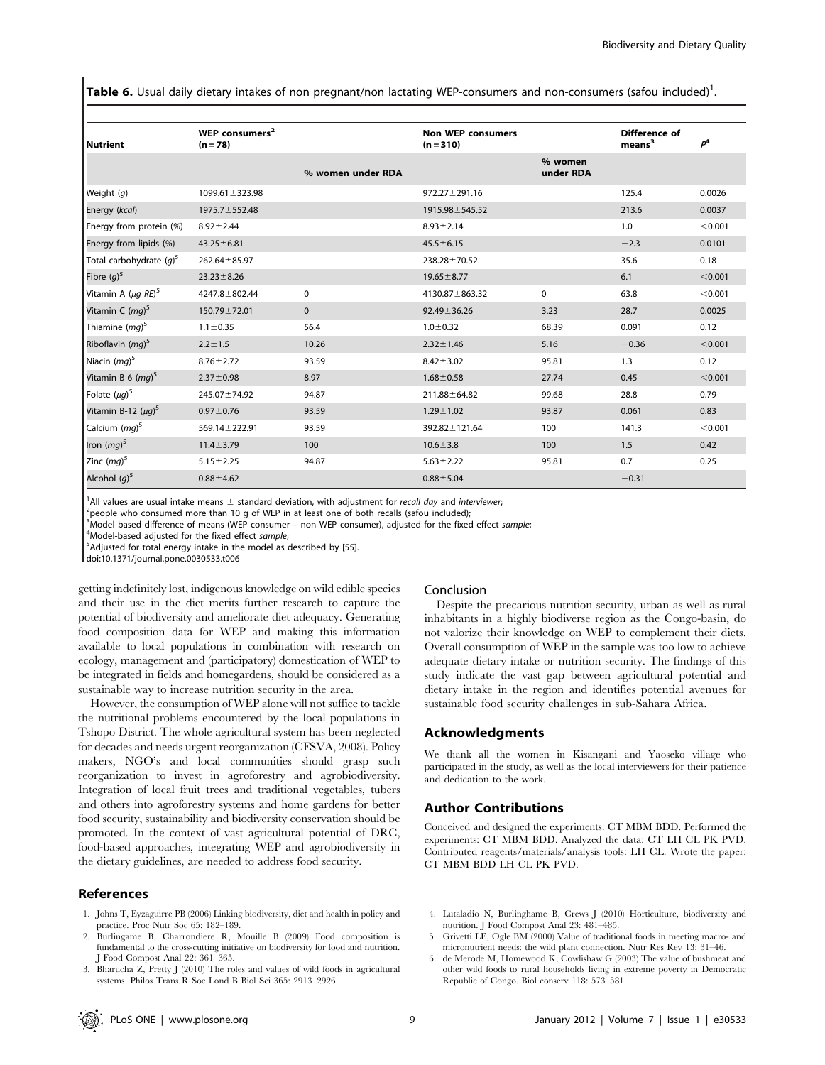Table 6. Usual daily dietary intakes of non pregnant/non lactating WEP-consumers and non-consumers (safou included)<sup>1</sup>.

| l Nutrient                  | WEP consumers <sup>2</sup><br>$(n = 78)$ |                   | <b>Non WEP consumers</b><br>$(n = 310)$ |                      | <b>Difference of</b><br>$\,$ means $^3$ | $P^4$   |
|-----------------------------|------------------------------------------|-------------------|-----------------------------------------|----------------------|-----------------------------------------|---------|
|                             |                                          | % women under RDA |                                         | % women<br>under RDA |                                         |         |
| Weight (g)                  | $1099.61 \pm 323.98$                     |                   | $972.27 \pm 291.16$                     |                      | 125.4                                   | 0.0026  |
| Energy (kcal)               | 1975.7 ± 552.48                          |                   | 1915.98 ± 545.52                        |                      | 213.6                                   | 0.0037  |
| Energy from protein (%)     | $8.92 \pm 2.44$                          |                   | $8.93 \pm 2.14$                         |                      | 1.0                                     | < 0.001 |
| Energy from lipids (%)      | $43.25 \pm 6.81$                         |                   | $45.5 \pm 6.15$                         |                      | $-2.3$                                  | 0.0101  |
| Total carbohydrate $(q)^5$  | $262.64 \pm 85.97$                       |                   | $238.28 \pm 70.52$                      |                      | 35.6                                    | 0.18    |
| Fibre $(q)^5$               | $23.23 \pm 8.26$                         |                   | $19.65 \pm 8.77$                        |                      | 6.1                                     | < 0.001 |
| Vitamin A $(\mu q \, RE)^5$ | $4247.8 \pm 802.44$                      | $\mathbf 0$       | 4130.87 ± 863.32                        | 0                    | 63.8                                    | < 0.001 |
| Vitamin C $(mq)^5$          | 150.79±72.01                             | $\mathbf{0}$      | $92.49 \pm 36.26$                       | 3.23                 | 28.7                                    | 0.0025  |
| Thiamine (mg) <sup>5</sup>  | $1.1 \pm 0.35$                           | 56.4              | $1.0 \pm 0.32$                          | 68.39                | 0.091                                   | 0.12    |
| Riboflavin $(mq)^5$         | $2.2 \pm 1.5$                            | 10.26             | $2.32 \pm 1.46$                         | 5.16                 | $-0.36$                                 | < 0.001 |
| Niacin $(mq)^5$             | $8.76 \pm 2.72$                          | 93.59             | $8.42 \pm 3.02$                         | 95.81                | 1.3                                     | 0.12    |
| Vitamin B-6 $(mq)^5$        | $2.37 \pm 0.98$                          | 8.97              | $1.68 \pm 0.58$                         | 27.74                | 0.45                                    | < 0.001 |
| Folate $(\mu g)^5$          | 245.07 ± 74.92                           | 94.87             | $211.88 \pm 64.82$                      | 99.68                | 28.8                                    | 0.79    |
| Vitamin B-12 $(\mu q)^5$    | $0.97 \pm 0.76$                          | 93.59             | $1.29 \pm 1.02$                         | 93.87                | 0.061                                   | 0.83    |
| Calcium $(mq)^5$            | 569.14 ± 222.91                          | 93.59             | 392.82 ± 121.64                         | 100                  | 141.3                                   | < 0.001 |
| Iron $(mq)^5$               | $11.4 \pm 3.79$                          | 100               | $10.6 \pm 3.8$                          | 100                  | 1.5                                     | 0.42    |
| Zinc $(mq)^5$               | $5.15 \pm 2.25$                          | 94.87             | $5.63 \pm 2.22$                         | 95.81                | 0.7                                     | 0.25    |
| Alcohol $(q)^5$             | $0.88 \pm 4.62$                          |                   | $0.88 \pm 5.04$                         |                      | $-0.31$                                 |         |

<sup>1</sup>All values are usual intake means  $\pm$  standard deviation, with adjustment for *recall day* and *interviewer*; <sup>2</sup> poople who consumed more than 10 g of MED in at lost and of both recalls (safou included);

 $^{2}$ people who consumed more than 10 g of WEP in at least one of both recalls (safou included);

 $3$ Model based difference of means (WEP consumer – non WEP consumer), adjusted for the fixed effect sample;<br> $4$ Model based adjusted for the fixed effect sample;

<sup>4</sup>Model-based adjusted for the fixed effect sample;

 $5$ Adjusted for total energy intake in the model as described by [55].

doi:10.1371/journal.pone.0030533.t006

getting indefinitely lost, indigenous knowledge on wild edible species and their use in the diet merits further research to capture the potential of biodiversity and ameliorate diet adequacy. Generating food composition data for WEP and making this information available to local populations in combination with research on ecology, management and (participatory) domestication of WEP to be integrated in fields and homegardens, should be considered as a sustainable way to increase nutrition security in the area.

However, the consumption of WEP alone will not suffice to tackle the nutritional problems encountered by the local populations in Tshopo District. The whole agricultural system has been neglected for decades and needs urgent reorganization (CFSVA, 2008). Policy makers, NGO's and local communities should grasp such reorganization to invest in agroforestry and agrobiodiversity. Integration of local fruit trees and traditional vegetables, tubers and others into agroforestry systems and home gardens for better food security, sustainability and biodiversity conservation should be promoted. In the context of vast agricultural potential of DRC, food-based approaches, integrating WEP and agrobiodiversity in the dietary guidelines, are needed to address food security.

# References

- 1. Johns T, Eyzaguirre PB (2006) Linking biodiversity, diet and health in policy and practice. Proc Nutr Soc 65: 182–189.
- 2. Burlingame B, Charrondiere R, Mouille B (2009) Food composition is fundamental to the cross-cutting initiative on biodiversity for food and nutrition. J Food Compost Anal 22: 361–365.
- 3. Bharucha Z, Pretty J (2010) The roles and values of wild foods in agricultural systems. Philos Trans R Soc Lond B Biol Sci 365: 2913–2926.

#### Conclusion

Despite the precarious nutrition security, urban as well as rural inhabitants in a highly biodiverse region as the Congo-basin, do not valorize their knowledge on WEP to complement their diets. Overall consumption of WEP in the sample was too low to achieve adequate dietary intake or nutrition security. The findings of this study indicate the vast gap between agricultural potential and dietary intake in the region and identifies potential avenues for sustainable food security challenges in sub-Sahara Africa.

# Acknowledgments

We thank all the women in Kisangani and Yaoseko village who participated in the study, as well as the local interviewers for their patience and dedication to the work.

#### Author Contributions

Conceived and designed the experiments: CT MBM BDD. Performed the experiments: CT MBM BDD. Analyzed the data: CT LH CL PK PVD. Contributed reagents/materials/analysis tools: LH CL. Wrote the paper: CT MBM BDD LH CL PK PVD.

- 4. Lutaladio N, Burlinghame B, Crews J (2010) Horticulture, biodiversity and nutrition. J Food Compost Anal 23: 481–485.
- 5. Grivetti LE, Ogle BM (2000) Value of traditional foods in meeting macro- and micronutrient needs: the wild plant connection. Nutr Res Rev 13: 31–46.
- 6. de Merode M, Homewood K, Cowlishaw G (2003) The value of bushmeat and other wild foods to rural households living in extreme poverty in Democratic Republic of Congo. Biol conserv 118: 573–581.